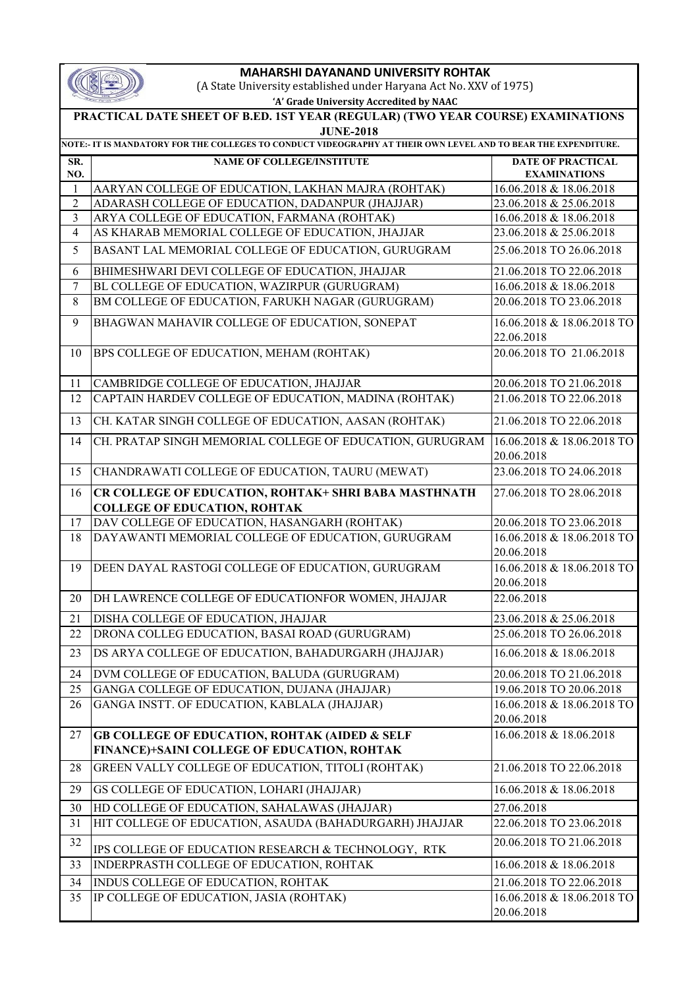|--|

## **MAHARSHI DAYANAND UNIVERSITY ROHTAK**

(A State University established under Haryana Act No. XXV of 1975)

| 'A' Grade University Accredited by NAAC |
|-----------------------------------------|
|-----------------------------------------|

|                                                                                                                | PRACTICAL DATE SHEET OF B.ED. 1ST YEAR (REGULAR) (TWO YEAR COURSE) EXAMINATIONS<br><b>JUNE-2018</b>     |                                                 |  |  |  |
|----------------------------------------------------------------------------------------------------------------|---------------------------------------------------------------------------------------------------------|-------------------------------------------------|--|--|--|
| NOTE:- IT IS MANDATORY FOR THE COLLEGES TO CONDUCT VIDEOGRAPHY AT THEIR OWN LEVEL AND TO BEAR THE EXPENDITURE. |                                                                                                         |                                                 |  |  |  |
| SR.<br>NO.                                                                                                     | <b>NAME OF COLLEGE/INSTITUTE</b>                                                                        | <b>DATE OF PRACTICAL</b><br><b>EXAMINATIONS</b> |  |  |  |
| $\mathbf{1}$                                                                                                   | AARYAN COLLEGE OF EDUCATION, LAKHAN MAJRA (ROHTAK)                                                      | 16.06.2018 & 18.06.2018                         |  |  |  |
| $\overline{2}$                                                                                                 | ADARASH COLLEGE OF EDUCATION, DADANPUR (JHAJJAR)                                                        | 23.06.2018 & 25.06.2018                         |  |  |  |
| 3                                                                                                              | ARYA COLLEGE OF EDUCATION, FARMANA (ROHTAK)                                                             | 16.06.2018 & 18.06.2018                         |  |  |  |
| $\overline{4}$                                                                                                 | AS KHARAB MEMORIAL COLLEGE OF EDUCATION, JHAJJAR                                                        | 23.06.2018 & 25.06.2018                         |  |  |  |
| 5                                                                                                              | BASANT LAL MEMORIAL COLLEGE OF EDUCATION, GURUGRAM                                                      | 25.06.2018 TO 26.06.2018                        |  |  |  |
| 6                                                                                                              | BHIMESHWARI DEVI COLLEGE OF EDUCATION, JHAJJAR                                                          | 21.06.2018 TO 22.06.2018                        |  |  |  |
| $\boldsymbol{7}$                                                                                               | BL COLLEGE OF EDUCATION, WAZIRPUR (GURUGRAM)                                                            | 16.06.2018 & 18.06.2018                         |  |  |  |
| 8                                                                                                              | BM COLLEGE OF EDUCATION, FARUKH NAGAR (GURUGRAM)                                                        | 20.06.2018 TO 23.06.2018                        |  |  |  |
| 9                                                                                                              | BHAGWAN MAHAVIR COLLEGE OF EDUCATION, SONEPAT                                                           | 16.06.2018 & 18.06.2018 TO<br>22.06.2018        |  |  |  |
| 10                                                                                                             | BPS COLLEGE OF EDUCATION, MEHAM (ROHTAK)                                                                | 20.06.2018 TO 21.06.2018                        |  |  |  |
| 11                                                                                                             | CAMBRIDGE COLLEGE OF EDUCATION, JHAJJAR                                                                 | 20.06.2018 TO 21.06.2018                        |  |  |  |
| 12                                                                                                             | CAPTAIN HARDEV COLLEGE OF EDUCATION, MADINA (ROHTAK)                                                    | 21.06.2018 TO 22.06.2018                        |  |  |  |
| 13                                                                                                             | CH. KATAR SINGH COLLEGE OF EDUCATION, AASAN (ROHTAK)                                                    | 21.06.2018 TO 22.06.2018                        |  |  |  |
| 14                                                                                                             | CH. PRATAP SINGH MEMORIAL COLLEGE OF EDUCATION, GURUGRAM                                                | 16.06.2018 & 18.06.2018 TO<br>20.06.2018        |  |  |  |
| 15                                                                                                             | CHANDRAWATI COLLEGE OF EDUCATION, TAURU (MEWAT)                                                         | 23.06.2018 TO 24.06.2018                        |  |  |  |
| 16                                                                                                             | CR COLLEGE OF EDUCATION, ROHTAK+ SHRI BABA MASTHNATH<br><b>COLLEGE OF EDUCATION, ROHTAK</b>             | 27.06.2018 TO 28.06.2018                        |  |  |  |
| 17                                                                                                             | DAV COLLEGE OF EDUCATION, HASANGARH (ROHTAK)                                                            | 20.06.2018 TO 23.06.2018                        |  |  |  |
| 18                                                                                                             | DAYAWANTI MEMORIAL COLLEGE OF EDUCATION, GURUGRAM                                                       | 16.06.2018 & 18.06.2018 TO<br>20.06.2018        |  |  |  |
| 19                                                                                                             | DEEN DAYAL RASTOGI COLLEGE OF EDUCATION, GURUGRAM                                                       | 16.06.2018 & 18.06.2018 TO<br>20.06.2018        |  |  |  |
| 20                                                                                                             | DH LAWRENCE COLLEGE OF EDUCATIONFOR WOMEN, JHAJJAR                                                      | 22.06.2018                                      |  |  |  |
| 21                                                                                                             | DISHA COLLEGE OF EDUCATION, JHAJJAR                                                                     | 23.06.2018 & 25.06.2018                         |  |  |  |
| 22                                                                                                             | DRONA COLLEG EDUCATION, BASAI ROAD (GURUGRAM)                                                           | 25.06.2018 TO 26.06.2018                        |  |  |  |
| 23                                                                                                             | DS ARYA COLLEGE OF EDUCATION, BAHADURGARH (JHAJJAR)                                                     | 16.06.2018 & 18.06.2018                         |  |  |  |
| 24                                                                                                             | DVM COLLEGE OF EDUCATION, BALUDA (GURUGRAM)                                                             | 20.06.2018 TO 21.06.2018                        |  |  |  |
| 25                                                                                                             | GANGA COLLEGE OF EDUCATION, DUJANA (JHAJJAR)                                                            | 19.06.2018 TO 20.06.2018                        |  |  |  |
| 26                                                                                                             | GANGA INSTT. OF EDUCATION, KABLALA (JHAJJAR)                                                            | 16.06.2018 & 18.06.2018 TO<br>20.06.2018        |  |  |  |
| 27                                                                                                             | <b>GB COLLEGE OF EDUCATION, ROHTAK (AIDED &amp; SELF</b><br>FINANCE)+SAINI COLLEGE OF EDUCATION, ROHTAK | 16.06.2018 & 18.06.2018                         |  |  |  |
| 28                                                                                                             | GREEN VALLY COLLEGE OF EDUCATION, TITOLI (ROHTAK)                                                       | 21.06.2018 TO 22.06.2018                        |  |  |  |
| 29                                                                                                             | GS COLLEGE OF EDUCATION, LOHARI (JHAJJAR)                                                               | 16.06.2018 & 18.06.2018                         |  |  |  |
| 30                                                                                                             | HD COLLEGE OF EDUCATION, SAHALAWAS (JHAJJAR)                                                            | 27.06.2018                                      |  |  |  |
| 31                                                                                                             | HIT COLLEGE OF EDUCATION, ASAUDA (BAHADURGARH) JHAJJAR                                                  | 22.06.2018 TO 23.06.2018                        |  |  |  |
| 32                                                                                                             | IPS COLLEGE OF EDUCATION RESEARCH & TECHNOLOGY, RTK                                                     | 20.06.2018 TO 21.06.2018                        |  |  |  |
| 33                                                                                                             | INDERPRASTH COLLEGE OF EDUCATION, ROHTAK                                                                | 16.06.2018 & 18.06.2018                         |  |  |  |
| 34                                                                                                             | INDUS COLLEGE OF EDUCATION, ROHTAK                                                                      | 21.06.2018 TO 22.06.2018                        |  |  |  |
| 35                                                                                                             | IP COLLEGE OF EDUCATION, JASIA (ROHTAK)                                                                 | 16.06.2018 & 18.06.2018 TO<br>20.06.2018        |  |  |  |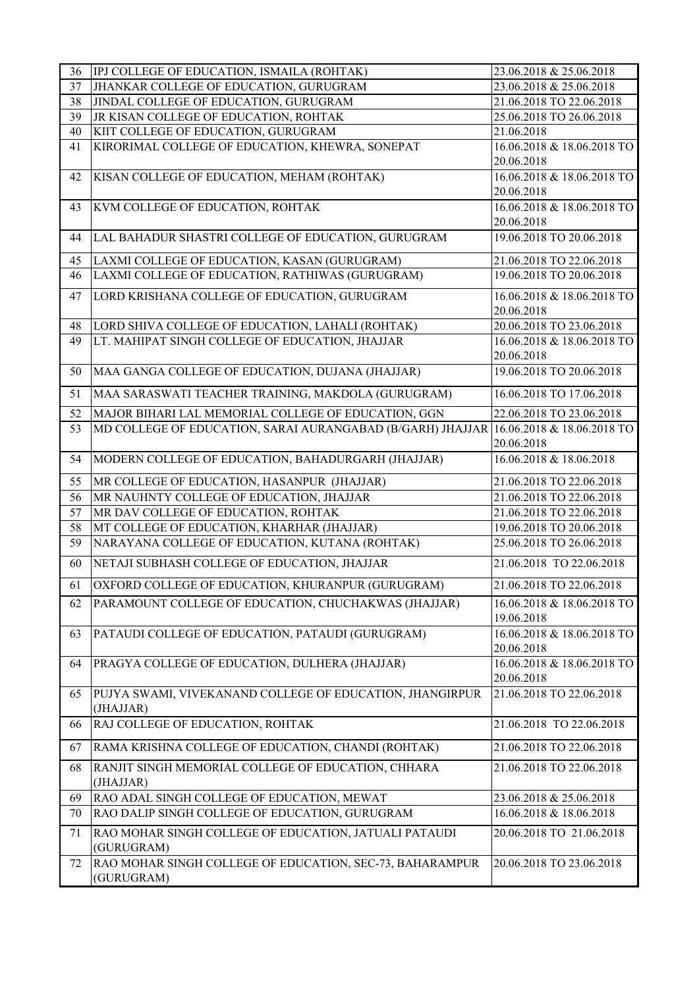| 36 | IPJ COLLEGE OF EDUCATION, ISMAILA (ROHTAK)                            | 23.06.2018 & 25.06.2018                |
|----|-----------------------------------------------------------------------|----------------------------------------|
| 37 | JHANKAR COLLEGE OF EDUCATION, GURUGRAM                                | 23.06.2018 & 25.06.2018                |
| 38 | JINDAL COLLEGE OF EDUCATION, GURUGRAM                                 | 21.06.2018 TO 22.06.2018               |
| 39 | JR KISAN COLLEGE OF EDUCATION, ROHTAK                                 | 25.06.2018 TO 26.06.2018               |
| 40 | KIIT COLLEGE OF EDUCATION, GURUGRAM                                   | 21.06.2018                             |
| 41 | KIRORIMAL COLLEGE OF EDUCATION, KHEWRA, SONEPAT                       | 16.06.2018 & 18.06.2018 TO             |
|    |                                                                       | 20.06.2018                             |
| 42 | KISAN COLLEGE OF EDUCATION, MEHAM (ROHTAK)                            | 16.06.2018 & 18.06.2018 TO             |
|    |                                                                       | 20.06.2018                             |
| 43 | KVM COLLEGE OF EDUCATION, ROHTAK                                      | 16.06.2018 & 18.06.2018 TO             |
|    |                                                                       | 20.06.2018                             |
| 44 | LAL BAHADUR SHASTRI COLLEGE OF EDUCATION, GURUGRAM                    | 19.06.2018 TO 20.06.2018               |
| 45 | LAXMI COLLEGE OF EDUCATION, KASAN (GURUGRAM)                          | 21.06.2018 TO 22.06.2018               |
| 46 | LAXMI COLLEGE OF EDUCATION, RATHIWAS (GURUGRAM)                       | 19.06.2018 TO 20.06.2018               |
|    |                                                                       |                                        |
| 47 | LORD KRISHANA COLLEGE OF EDUCATION, GURUGRAM                          | 16.06.2018 & 18.06.2018 TO             |
|    |                                                                       | 20.06.2018                             |
| 48 | LORD SHIVA COLLEGE OF EDUCATION, LAHALI (ROHTAK)                      | 20.06.2018 TO 23.06.2018               |
| 49 | LT. MAHIPAT SINGH COLLEGE OF EDUCATION, JHAJJAR                       | 16.06.2018 & 18.06.2018 TO             |
|    |                                                                       | 20.06.2018<br>19.06.2018 TO 20.06.2018 |
| 50 | MAA GANGA COLLEGE OF EDUCATION, DUJANA (JHAJJAR)                      |                                        |
| 51 | MAA SARASWATI TEACHER TRAINING, MAKDOLA (GURUGRAM)                    | 16.06.2018 TO 17.06.2018               |
| 52 | MAJOR BIHARI LAL MEMORIAL COLLEGE OF EDUCATION, GGN                   | 22.06.2018 TO 23.06.2018               |
| 53 | MD COLLEGE OF EDUCATION, SARAI AURANGABAD (B/GARH) JHAJJAR            | 16.06.2018 & 18.06.2018 TO             |
|    |                                                                       | 20.06.2018                             |
| 54 | MODERN COLLEGE OF EDUCATION, BAHADURGARH (JHAJJAR)                    | 16.06.2018 & 18.06.2018                |
| 55 | MR COLLEGE OF EDUCATION, HASANPUR (JHAJJAR)                           | 21.06.2018 TO 22.06.2018               |
| 56 | MR NAUHNTY COLLEGE OF EDUCATION, JHAJJAR                              | 21.06.2018 TO 22.06.2018               |
| 57 | MR DAV COLLEGE OF EDUCATION, ROHTAK                                   | 21.06.2018 TO 22.06.2018               |
| 58 | MT COLLEGE OF EDUCATION, KHARHAR (JHAJJAR)                            | 19.06.2018 TO 20.06.2018               |
| 59 | NARAYANA COLLEGE OF EDUCATION, KUTANA (ROHTAK)                        | 25.06.2018 TO 26.06.2018               |
| 60 | NETAJI SUBHASH COLLEGE OF EDUCATION, JHAJJAR                          | 21.06.2018 TO 22.06.2018               |
| 61 | OXFORD COLLEGE OF EDUCATION, KHURANPUR (GURUGRAM)                     | 21.06.2018 TO 22.06.2018               |
| 62 | PARAMOUNT COLLEGE OF EDUCATION, CHUCHAKWAS (JHAJJAR)                  | 16.06.2018 & 18.06.2018 TO             |
|    |                                                                       | 19.06.2018                             |
| 63 | PATAUDI COLLEGE OF EDUCATION, PATAUDI (GURUGRAM)                      | 16.06.2018 & 18.06.2018 TO             |
|    |                                                                       | 20.06.2018                             |
| 64 | PRAGYA COLLEGE OF EDUCATION, DULHERA (JHAJJAR)                        | 16.06.2018 & 18.06.2018 TO             |
|    |                                                                       | 20.06.2018                             |
| 65 | PUJYA SWAMI, VIVEKANAND COLLEGE OF EDUCATION, JHANGIRPUR<br>(JHAJJAR) | 21.06.2018 TO 22.06.2018               |
| 66 | RAJ COLLEGE OF EDUCATION, ROHTAK                                      | 21.06.2018 TO 22.06.2018               |
| 67 | RAMA KRISHNA COLLEGE OF EDUCATION, CHANDI (ROHTAK)                    | 21.06.2018 TO 22.06.2018               |
| 68 | RANJIT SINGH MEMORIAL COLLEGE OF EDUCATION, CHHARA                    | 21.06.2018 TO 22.06.2018               |
|    | (JHAJJAR)                                                             |                                        |
| 69 | RAO ADAL SINGH COLLEGE OF EDUCATION, MEWAT                            | 23.06.2018 & 25.06.2018                |
| 70 | RAO DALIP SINGH COLLEGE OF EDUCATION, GURUGRAM                        | 16.06.2018 & 18.06.2018                |
| 71 | RAO MOHAR SINGH COLLEGE OF EDUCATION, JATUALI PATAUDI<br>(GURUGRAM)   | 20.06.2018 TO 21.06.2018               |
| 72 | RAO MOHAR SINGH COLLEGE OF EDUCATION, SEC-73, BAHARAMPUR              | 20.06.2018 TO 23.06.2018               |
|    | (GURUGRAM)                                                            |                                        |